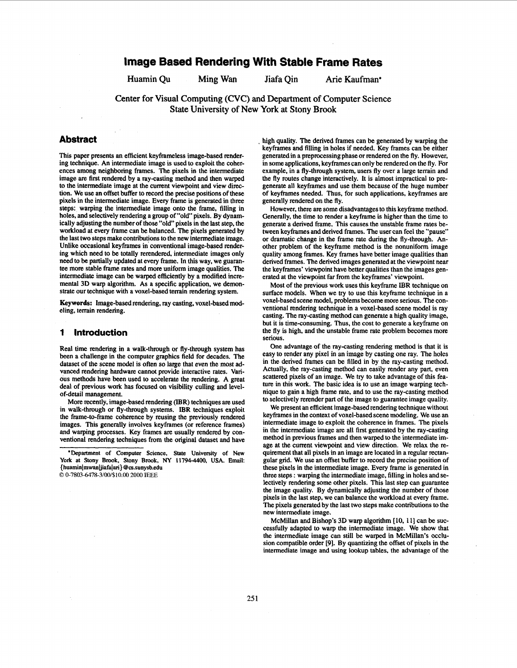# **Image Based Rendering With Stable Frame Rates**

Huamin **Qu** Ming **Wan** Jiafa Qin Arie Kaufman'

Center for Visual Computing (CVC) **and** Department of Computer Science State University of New York at Stony Brook

# **Abstract**

This paper presents an efficient keyframeless image-based rendering technique. *An* intermediate image is used to exploit the coherences among neighboring frames. The pixels in the intermediate image are first rendered by a ray-casting method and then warped to the intermediate image at the current viewpoint and view direction. We use an offset buffer to record the precise positions of these pixels in the intermediate image. Every frame is generated in three steps: warping the intermediate image onto the frame, filling in holes, and selectively rendering a group of "old" pixels. By dynamically adjusting the number of those "old" pixels in the last step, the workload at every frame can be balanced. The pixels generated by the last two steps make contributions to the new intermediate image. Unlike occasional keyframes in conventional image-based rendering which need to be totally rerendered, intermediate images only need to be partially updated at every frame. In this way, we guaran**tee** more stable frame rates and more uniform image qualities. The intermediate image can be warped efficiently by a modified incremental **3D** warp algorithm. As a specific application, we demonstrate our technique with a voxel-based terrain rendering system.

**Keywords:** Image-based rendering, ray casting, voxel-based modeling, terrain rendering.

### **1 Introduction**

Real time rendering in a walk-through or fly-through system has been a challenge in the computer graphics field for decades. The dataset of the scene model is often **so** large that even the most advanced rendering hardware cannot provide interactive rates. Various methods have been used to accelerate the rendering. **A** great deal of previous work has focused on visibility culling and levelof-detail management.

More recently, image-based rendering **(IBR)** techniques are used in walk-through or fly-through systems. IBR techniques exploit the frame-to-frame coherence by reusing the previously rendered images. This generally involves keyframes (or reference frames) and warping processes. Key frames are usually rendered by conventional rendering techniques from the original dataset and have

**'Department of Computer Science, State University of New York at Stony Brook, Stony Brook, NY 11794-4400, USA. Email:**  { **huaminlmwanljiafalari[} @cs.sunysb.edu](mailto:cs.sunysb.edu)** 

*0* 0-7803-6478-3/00/\$10.00 **2000** IEEE

high quality. The derived frames can be generated by warping the keyframes and filling in holes if needed. Key frames can be either generated in a preprocessing phase or rendered on the fly. However, in some applications, key frames can only be rendered on the fly. For example, in a fly-through system, users fly over a large terrain and the fly routes change interactively. It is almost impractical to pregenerate all keyframes and use them because of the huge number of keyframes needed. Thus, for such applications, keyframes are generally rendered on the fly.

However, there **are** some disadvantages to **this** keyframe method. Generally, the time to render a keyframe is higher than the time to generate a derived frame. This causes the unstable frame rates beor dramatic change in the frame rate during the fly-through. Another problem of the keyframe method is the nonuniform image quality among frames. Key frames have better image qualities than derived frames. The derived images generated at the viewpoint near the keyframes' viewpoint have better qualities than the images generated at the viewpoint far from the keyframes' viewpoint.

Most of the previous work uses this keyframe **IBR** technique on surface models. When we **try** to use this keyframe technique in a voxel-based scene model, problems become more serious. The conventional rendering technique in a voxel-based scene model is ray casting. The ray-casting method can generate a high quality image, but it is time-consuming. Thus, the cost to generate a keyframe on the fly is high, and the unstable frame rate problem becomes more serious.

One advantage of the ray-casting rendering method is that it is easy to render any pixel in an image by casting one ray. The holes in the derived frames can be filled in by the ray-casting method. Actually, the ray-casting method can easily render any part, even scattered pixels of an image. We **try** to take advantage of this feature in this work. The basic idea is to use an image warping technique to gain a high frame rate, and **to** use the ray-casting method to selectively rerender part of the image to guarantee image quality.

We present an efficient image-based rendering technique without keyframes in the context of voxel-based scene modeling. We use an intermediate image to exploit the coherence in frames. The pixels in the intermediate image are all first generated by the ray-casting method in previous frames and then warped to the intermediate image at the current viewpoint and view direction. We relax the re- quirement that all pixels in an image are located in a regular rectangular grid. We use an offset buffer to record the precise position of these pixels in the intermediate image. Every frame is generated in three steps: warping the intermediate image, filling in holes and selectively rendering some other pixels. This last step can guarantee the image quality. By dynamically adjusting the number of those pixels in the last step, we can balance the workload at every frame. The pixels generated by the last two steps make contributions to the new intermediate image.

McMillan and Bishop's **3D** warp algorithm [ 10, 1 **11** can be suc- cessfully adapted to warp the intermediate image. We show that the intermediate image can still be warped in McMillan's occlusion compatible order **[9].** By quantizing the offset of pixels in the intermediate image and using lookup tables, the advantage of the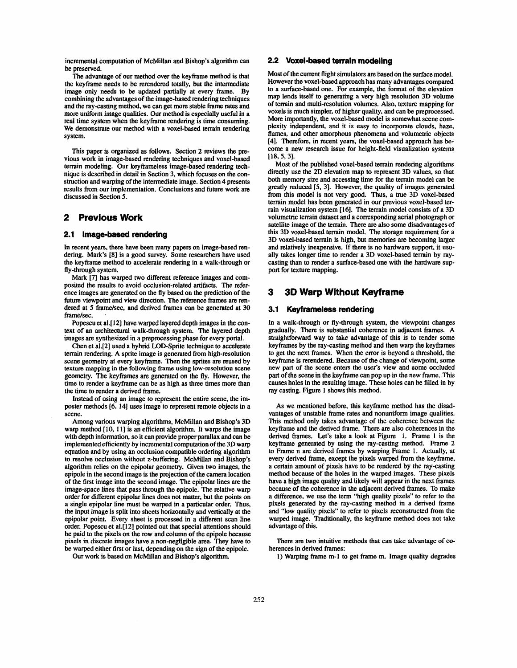incremental computation of McMillan and Bishop's algorithm can be preserved.

The advantage of our method over the keyframe method is that the keyframe needs to **be** rerendered totally, but the intermediate image only needs to be updated partially at every frame. By combining the advantages of the image-based rendering techniques and the ray-casting method, we can get more stable frame rates and real time system when the keyframe rendering is time consuming. We demonstrate our method with a voxel-based terrain rendering system.

This paper is organized as follows. Section 2 reviews the previous work in image-based rendering techniques and voxel-based terrain modeling. Our keyframeless image-based rendering technique is described in detail in Section 3, which focuses on the construction and warping of the intermediate image. Section **4** presents results from our implementation. Conclusions and future work are discussed in Section *5.* 

# **2 Previous Work**

#### **2.1 Image-based renderlng**

In recent years, there have been many papers on image-based ren- dering. Mark's 181 is a good survey. Some researchers have used the keyframe method to accelerate rendering in a walk-through or fly-through system.

Mark [7] has warped two different reference images and composited the results to avoid occlusion-related artifacts. The reference images are generated on the fly based on the prediction of the dered at 5 frame/sec, and derived frames can be generated at 30 frame/sec.

Popescu et al. [12] have warped layered depth images in the context of an architectural walk-through system. The layered depth images are synthesized in a preprocessing phase for every portal.

Chen et a1.[2] used a hybrid LOD-Sprite technique to accelerate terrain rendering. A sprite image is generated from high-resolution scene geometry at every keyframe. Then the sprites are reused by **texture** mapping in the following frame using low-resolution scene geometry. The keyframes are generated on the fly. However, the time to render a keyframe can be as high as three times more than the time to render a derived frame.

Instead of using **an** image to represent the entire scene, the imposter methods **16,** 141 uses image to represent remote objects in a scene.

Among various warping algorithms, McMillan and Bishop's 3D warp method [10, 11] is an efficient algorithm. It warps the image with depth information, so it can provide proper parallax and can be implemented efficiently by incremental computation of the 3D warp equation and by using an occlusion compatible ordering algorithm to resolve occlusion without z-buffering. McMillan and Bishop's algorithm relies on the epipolar geometry. Given two images, the epipole in the second image is the projection of the camera location of the first image into the second image. The epipolar lines are the image-space lines that pass through the epipole. The relative warp order for different epipolar lines does not matter, but the points on a single epipolar line must be warped in a particular order. Thus, the input image is split into sheets horizontally and vertically at the epipolar point. Every sheet is processed in a different scan line order. Popescu et al.1121 pointed out that special attentions should be paid to the pixels on the row and column of the epipole because pixels in discrete images have a non-negligible area. They have to be warped either first or last, depending on the sign of the epipole.

Our work is based on McMillan and Bishop's algorithm.

### **2.2 Voxel-based terrain modeling**

Most of the current flight simulators are based on the surface model. However the voxel-based approach has many advantages compared to a surface-based one. For example, the format of the elevation map lends itself to generating a very high resolution 3D volume of terrain and multi-resolution volumes. Also, texture mapping for voxels is much simpler, of higher quality, and can **be** preprocessed. plexity independent, and it is easy to incorporate clouds, haze, flames, and other amorphous phenomena and volumetric objects [4]. Therefore, in recent years, the voxel-based approach has become a new research issue for height-field visualization systems [18,5,31.

Most of the published voxel-based terrain rendering algorithms directly use the 2D elevation map to represent 3D values, **so** that both memory size and accessing time for the terrain model can be greatly reduced **15,** 31. However, the quality of images generated from this model is not very good. Thus, a true 3D voxel-based terrain model has been generated in our previous voxel-based terrain visualization system [ **161.** The terrain model consists of a 3D volumetric terrain dataset and a corresponding aerial photograph or satellite image of the terrain. There **are** also some disadvantages of this 3D voxel-based terrain model. The storage requirement for a 3D voxel-based terrain is high, but memories are becoming larger ally takes longer time to render a 3D voxel-based terrain by raycasting than to render a surface-based one with the hardware support for texture mapping.

# **3 30 Warp Without Keyframe**

#### **3.1 Keyframeless rendering**

In a walk-through or fly-through system, the viewpoint changes gradually. There is substantial coherence in adjacent frames. **A**  straightforward way to take advantage of this is **to** render some keyframes by the ray-casting method and then warp the keyframes to get the next frames. When the error is beyond a threshold, the keyframe is rerendered. Because of the change of viewpoint, some new part of the scene enters the user's view and some occluded part of the scene in the keyframe can pop up in the new frame. This causes holes in the resulting image. These holes can be filled in by ray casting. Figure **1** shows this method.

As we mentioned before, this keyframe method has the disadvantages of unstable frame rates and nonuniform image qualities. This method only takes advantage of the coherence between the keyframe and the derived frame. There are also coherences in the derived frames. Let's take a look at Figure 1. Frame 1 is the keyframe generated by using the ray-casting method. Frame 2 to Frame n are derived frames by warping Frame 1. Actually, at every derived frame, except the pixels warped from the keyframe, a certain amount of pixels have to be rendered by the ray-casting method because of the holes in the warped images. These pixels have a high image quality and likely will appear in the next frames because of the coherence in the adjacent derived frames. To make a difference, we use the term "high quality pixels" to refer to the pixels generated by the ray-casting method in a derived frame and "low quality pixels" to refer to pixels reconstructed from the warped image. Traditionally, the keyframe method does not take advantage of this.

There are two intuitive methods that can take advantage of coherences in derived frames:

1) Warping frame m-1 to get frame m. Image quality degrades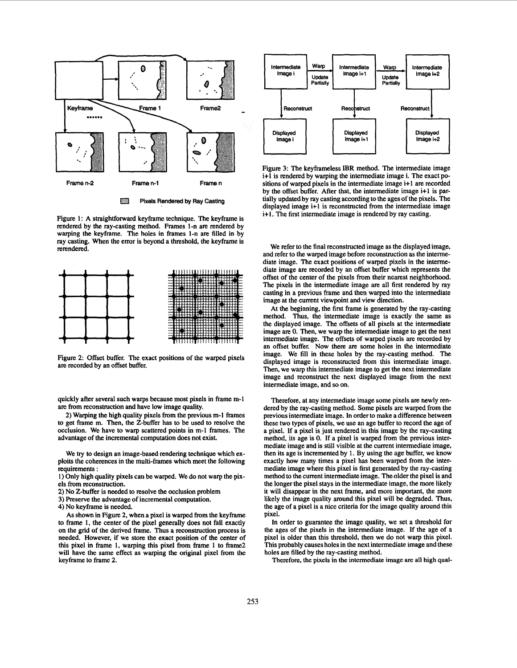

a **Pixels Rendered by Ray Casting** 

Figure **1:** A straightforward keyframe technique. The keyframe is rendered by the ray-casting method. Frames I-n are rendered by warping the keyframe. The holes in frames 1-n are filled in by ray casting. When the error is beyond a threshold, the keyframe is rerendered.



Figure 2: Offset buffer. The exact positions of the warped pixels are recorded by an offset buffer.

quickly after several such warps because most pixels in frame m-1 are From reconstruction and have low image quality.

2) Warping the high quality pixels from the previous m-1 frames to get frame m. Then, the 2-buffer has to be used to resolve the occlusion. We have to warp scattered points in m-1 frames. The advantage of the incremental computation does not exist.

We **try** to design an image-based rendering technique which exploits the coherences in the multi-frames which meet the following requirements :

1) Only high quality pixels can be warped. We do not warp the pixels from reconstruction.

2) No 2-buffer is needed to resolve the occlusion problem

3) Preserve the advantage of incremental computation.

**4)** No keyframe is needed.

**As** shown in Figure 2, when a pixel is warped from the keyframe to frame 1, the center of the pixel generally does not fall exactly on the grid of the derived frame. Thus a reconstruction process is needed. However, if we store the exact position of the center of this pixel in frame 1, warping this pixel from frame 1 to frame2 will have the same effect as warping the original pixel from the keyframe to frame 2.



Figure 3: The keyframeless IBR method. The intermediate image i+l is rendered by warping the intermediate image i. The exact positions of warped pixels in the intermediate image i+l are recorded by the offset buffer. After that, the intermediate image i+l is partially updated by ray casting according to the ages of the pixels. The displayed image i+l is reconstructed from the intermediate image i+l. The first intermediate image is rendered by ray casting.

We refer to the final reconstructed image as the displayed image, and refer to the warped image before reconstruction as the intermediate image. The exact positions of warped pixels in the intermediate image are recorded by an offset buffer which represents the offset of the center of the pixels from their nearest neighborhood. The pixels in the intermediate image are all first rendered by ray casting in a previous frame and then warped into the intermediate image at the current viewpoint and view direction.

At the beginning, the first frame is generated by the ray-casting method. Thus, the intermediate image is exactly the same as the displayed image. The offsets of all pixels at the intermediate image are 0. Then, we warp the intermediate image to get the next intermediate image. The offsets of warped pixels are recorded by an offset buffer. Now there are some holes in the intermediate image. We fill in these holes by the ray-casting method. The displayed image is reconstructed from this intermediate image. Then, we warp this intermediate image to get the next intermediate image and reconstruct the next displayed image from the next intermediate image, and **so** on.

Therefore, at any intermediate image some pixels are newly rendered by the ray-casting method. Some pixels are warped from the previous intermediate image. In order to make a difference between a pixel. If a pixel is just rendered in this image by the ray-casting method, its age is 0. If a pixel is warped from the previous intermediate image and is still visible at the current intermediate image, then its age is incremented by 1. By using the age buffer, we know exactly how many times a pixel has been warped from the intermediate image where this pixel is first generated by the ray-casting method to the current intermediate image. The older the pixel is and the longer the pixel stays in the intermediate image, the more likely it will disappear in the next frame, and more important, the more likely the image quality around this pixel will be degraded. Thus, the age of a pixel is a nice criteria for the image quality around this pixel.

In order to guarantee the image quality, we set a threshold for the ages of the pixels in the intermediate image. If the age of a pixel is older than this threshold, then we do not warp this pixel. This probably causes holes in the next intermediate image and these holes are filled by the ray-casting method.

Therefore, the pixels in the intermediate image are all high **qual-**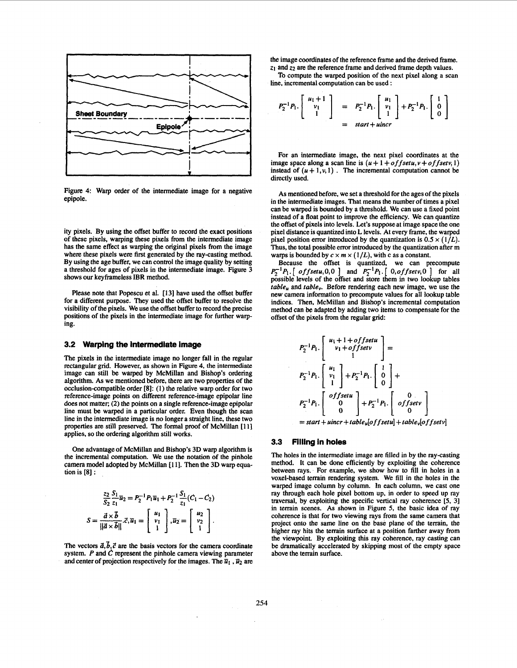

Figure **4:** Warp order of the intermediate image for a negative epipole.

ity pixels. By using the offset buffer to record the exact positions of these pixels, warping these pixels from the intermediate image has the same effect as warping the original pixels from the image where these pixels were first generated by the ray-casting method. By using the age buffer, we can control the image quality by setting a threshold for ages of pixels in the intermediate image. Figure **3**  shows our keyframeless IBR method.

Please note that Popescu et al. **[13]** have used the offset buffer for a different purpose. They used the offset buffer to resolve the visibility of the pixels. We use the offset buffer to record the precise positions of the pixels in the intermediate image for further warping.

#### **3.2 Warping the Intermediate image**

The pixels in the intermediate image **no** longer fall in the regular rectangular grid. However, as shown in Figure **4,** the intermediate image can still be warped by McMillan and Bishop's ordering algorithm. As we mentioned before, there are two properties of the occlusion-compatible order [8]: (1) the relative warp order for two reference-image points on different reference-image epipolar line does not matter; *(2)* the points on a single reference-image epipolar line must be warped in a particular order. Even though the scan line in the intermediate image is no longer a straight line, these two properties are still preserved. The formal proof of McMillan **[I 13**  applies, **so** the ordering algorithm still works.

One advantage of McMillan and Bishop's **3D** warp algorithm is the incremental computation. We use the notation of the pinhole camera model adopted by McMillan [l **11.** Then the 3D warp equation is **[8]** :

$$
\frac{z_2}{S_2} \frac{S_1}{z_1} \overline{u}_2 = P_2^{-1} P_1 \overline{u}_1 + P_2^{-1} \frac{S_1}{z_1} (C_1 - C_2)
$$
  

$$
S = \frac{\overline{d} \times \overline{b}}{|\overline{d} \times \overline{b}|} \cdot \overline{c}, \overline{u}_1 = \begin{bmatrix} u_1 \\ v_1 \\ 1 \end{bmatrix}, \overline{u}_2 = \begin{bmatrix} u_2 \\ v_2 \\ 1 \end{bmatrix}.
$$

The vectors  $\vec{a}, \vec{b}, \vec{c}$  are the basis vectors for the camera coordinate system. P and **C** represent the pinhole camera viewing parameter and center of projection respectively for the images. The  $\overline{u}_1$ ,  $\overline{u}_2$  are the image coordinates of the reference frame and the derived frame. z1 and *22* are the reference frame and derived frame depth values.

To compute the warped position of the next pixel along a scan line, incremental computation can be used :

$$
P_2^{-1}P_1.\begin{bmatrix} u_1+1 \\ v_1 \\ 1 \end{bmatrix} = P_2^{-1}P_1.\begin{bmatrix} u_1 \\ v_1 \\ 1 \end{bmatrix} + P_2^{-1}P_1.\begin{bmatrix} 1 \\ 0 \\ 0 \end{bmatrix}
$$
  
= start+ *u*incr

For an intermediate image, the next pixel coordinates at the image space along a scan line is  $(u + 1 + of f setu, v + off setv, 1)$ instead of  $(u + 1, v, 1)$ . The incremental computation cannot be directly used.

As mentioned before, we set a threshold for the ages of the pixels in the intermediate images. That means the number of times a pixel can be warped is bounded by a threshold. We can use a fixed point instead of a float point to improve the efficiency. We can quantize the offset of pixels into levels. Let's supposeat image space the one pixel distance is quantized into L levels. At every frame, the warped pixel position error introduced by the quantization is  $0.5 \times (1/L)$ . Thus, the total possible error introduced by the quantization after m warps is bounded by  $c \times m \times (1/L)$ , with c as a constant.

Because the offset is quantized, we can precompute  $P_2^{-1}P_1$ . [ *offsetu,* 0,0 ] and  $P_2^{-1}P_1$ . [ 0, *offsetv*, 0 ] for all possible levels of the offset and store them in two lookup tables *table,,* and *table,.* Before rendering each new image, we use the new camera information to precompute values for all lookup table indices. Then, McMillan and Bishop's incremental computation method can be adapted by adding two items to compensate for the offset of the pixels from the regular grid



 $= start + \text{u} \cdot \text{u} + \text{table}_{u}[\text{offsetu}] + \text{table}_{v}[\text{offsetv}]$ 

### **3.3 Filling In holes**

The holes in the intermediate image are filled in by the ray-casting method. It can be done efficiently by exploiting the coherence between rays. For example, we show how to fill in holes in a voxel-based terrain rendering system. We fill in the holes in the warped image column by column. In each column, we cast one ray through each hole pixel bottom up, in order to speed up ray traversal, by exploiting the specific vertical ray coherence *[5,* **31**  in terrain scenes. *As* shown in Figure *5,* the basic idea of ray coherence is that for two viewing rays from the same camera that project onto the same line on the base plane of the terrain, the higher ray hits the terrain surface at a position farther away from the viewpoint. By exploiting this ray coherence, ray casting can be dramatically accelerated by skipping most of the empty space above the terrain surface.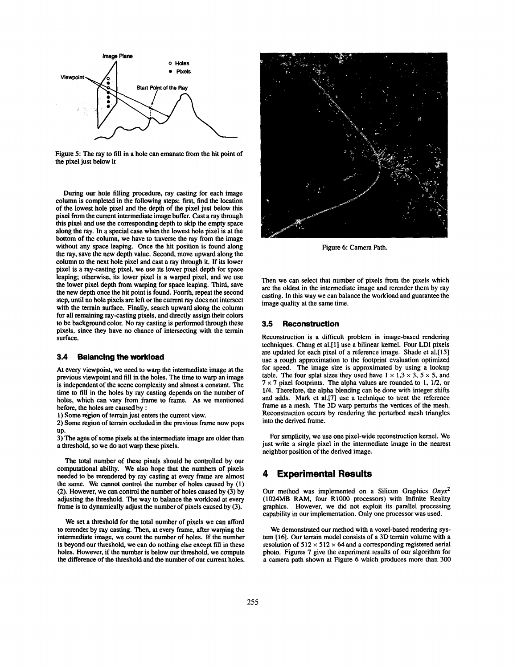<span id="page-4-0"></span>

Figure 5: The ray to fill in a hole can emanate from the hit point of the pixel just below it

During our hole filling procedure, ray casting for each image column is completed in the following steps: first, find the location of the lowest hole pixel and the depth of the pixel just below this pixel from the current intermediate image buffer. Cast a ray through this pixel and use the corresponding depth to skip the empty space along the ray. In a special case when the lowest hole pixel is at the bottom of the column, we have to traverse the ray from the image without any space leaping. Once the hit position is found along the ray, save the new depth value. Second, move upward along the column to the next hole pixel and cast a ray through it. If its lower pixel is a ray-casting pixel, we use its lower pixel depth for space leaping; otherwise, its lower pixel is a warped pixel, and we use the lower pixel depth from warping for space leaping. Third, save the new depth once the hit point is found. Fourth, repeat the second step, until no hole pixels are left or the current ray does not intersect with the terrain surface. Finally, search upward along the column for all remaining ray-casting pixels, and directly assign their colors to be background color. No ray casting is performed through these pixels, since they have no chance of intersecting with the terrain surface.

### **3.4 Balanclng the workload**

At every viewpoint, we need to warp the intermediate image at the previous viewpoint and fill in the holes. The time to warp an image is independent of the scene complexity and almost a constant. The time to fill in the holes by ray casting depends on the number of holes, which can vary from frame to frame. As we mentioned before, the holes are caused by :

1) Some region of terrain just enters the current view.

2) Some region of terrain occluded in the previous frame now pops UP.

**3)** The ages of some pixels at the intermediate image are older than a threshold, so we do not warp these pixels.

The total number of these pixels should be controlled by our computational ability. We also hope that the numbers of pixels needed to be rerendered by ray casting at every frame are almost the same. We cannot control the number of holes caused by **(1)**  (2). However, we can control the number of holes caused by **(3)** by adjusting the threshold. The way to balance the workload at every frame is to dynamically adjust the number of pixels caused by **(3).** 

We set a threshold for the total number of pixels we can afford **to** rerender by ray casting. Then, at every frame, after warping the intermediate image, we count the number of holes. If the number is beyond our threshold, we can do nothing else except fill in these holes. However, if the number is below our threshold, we compute the difference of the threshold and the number of our current holes.



Figure **6:** Camera Path.

Then we can select that number of pixels from the pixels which are the oldest in the intermediate image and rerender them by ray casting. In this way we can balance the workload and guarantee the image quality at the same time.

#### **3.5 Reconstruction**

Reconstruction is a difficult problem in image-based rendering techniques. Chang et al.[l] use a bilinear kemel. Four **LDI** pixels are updated for each pixel of a reference image. Shade et a1.[15] use a rough approximation to the footprint evaluation optimized for speed. The image size is approximated by using a lookup table. The four splat sizes they used have  $1 \times 1, 3 \times 3, 5 \times 5$ , and  $7 \times 7$  pixel footprints. The alpha values are rounded to 1, 1/2, or **1/4.** Therefore, the alpha blending can be done with integer shifts and adds. Mark et a1.[7] use a technique to treat the reference frame as a mesh. The **3D** warp perturbs the vertices of the mesh. Reconstruction occurs by rendering the perturbed mesh triangles into the derived frame.

For simplicity, we use one pixel-wide reconstruction kemel. We just write a single pixel in the intermediate image in the nearest neighbor position of the derived image.

### **4 Experimental Results**

Our method was implemented on a Silicon Graphics *Onyx'*  **(1024MB** RAM, four RlOOO processors) with Infinite Reality graphics. However, we did not exploit its parallel processing capability in our implementation. Only one processor was used.

We demonstrated our method with a voxel-based rendering system **[16].** Our terrain model consists of a 3D terrain volume with a resolution of  $512 \times 512 \times 64$  and a corresponding registered aerial photo. Figures 7 give the experiment results of our algorithm for a camera path shown at Figure *6* which produces more than 300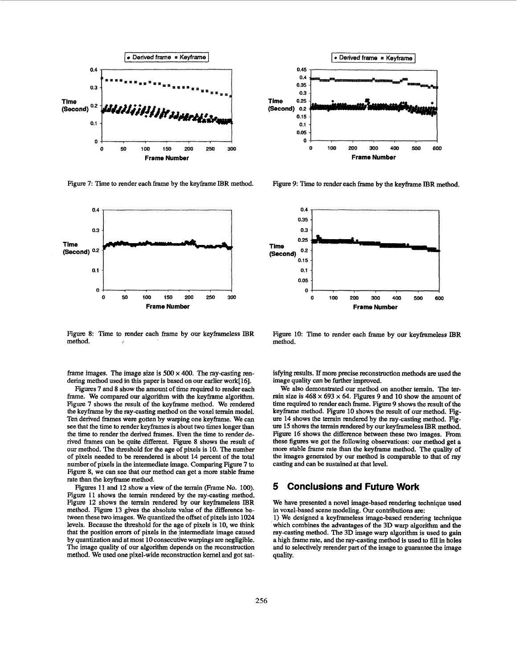

Figure 7: Time to render each frame by the keyframe **IBR** method. Figure 9: Time to render each frame by the keyframe **IBR** method.



Figure 8: Time to render each frame by our keyframeless **IBR**  method. The contract of the contract of the method.

frame images. The image size is  $500 \times 400$ . The ray-casting rendering method used in this paper is based on our earlier work[16].

Figures 7 and 8 show the amount of time required to render each frame. We compared **our** algorithm **with** the keyframe algorithm. Figure 7 shows the result of the keyframe method. We rendered the keyframe by the ray-casting method on the voxel terrain model. Ten derived frames were gotten by warping one keyframe. We can see that the time to render keyframes is about two times longer than the time to render the derived frames. Even the time to render derived frames can be quite different. Figure 8 shows the result of our method. The threshold for the age of pixels is **10.** The number of pixels needed to be rerendered is about 14 percent of the total number of pixels in the intermediate image. Comparing Figure *7* to Figure 8, we can see that our method can get a more stable frame rate than the keyframe method.

Figures 11 and **12** show a view of the terrain (Frame **No.** 100). Figure **11** shows the terrain rendered by the ray-casting method. Figure **12** shows the terrain rendered by our keyframeless **IBR**  method. Figure 13 gives the absolute value of the difference between these **two** images. We quantized the offset of pixels into 1024 levels. Because the threshold for the age of pixels is 10, we think that the position errors of pixels in the intermediate image caused by quantization and at most 10 consecutive warpings *are* negligible. The image quality of our algorithm depends on the reconstruction method. We used one pixel-wide reconstruction kernel and got sat-





Figure **10:** Time to render each frame by our keyframeless **IBR** 

isfying results. If more precise reconstruction methods *are* used the image quality can be further improved.

We also demonstrated our method on another terrain. The terrain size is  $468 \times 693 \times 64$ . Figures 9 and 10 show the amount of time required to render each frame. Figure 9 shows the result of the keyframe method. Figure **10** shows the result of our method. Fig**ure** 14 shows the terrain rendered by the ray-casting method. **Fig- ure 15** shows the terrain rendered by our keyframeless **IBR** method. Figure 16 shows the difference between these **two** images. From these figures we got the following observations: our method get a more stable frame rate than the keyframe method. The quality of the images generated by **our** method is comparable to that of ray casting and can be sustained at that level.

# **5 Conclusions and Future Work**

We have presented a novel image-based rendering technique used in voxel-based scene modeling. *Our* contributions *are:* 

1) We designed a keyframeless image-based rendering technique which combines the advantages of the 3D warp algorithm and the ray-casting method. The 3D image warp algorithm is used to gain a high frame rate, and the ray-casting method is used **to fill** in holes and **to** selectively rerender part of the image to guarantee the image **quality.**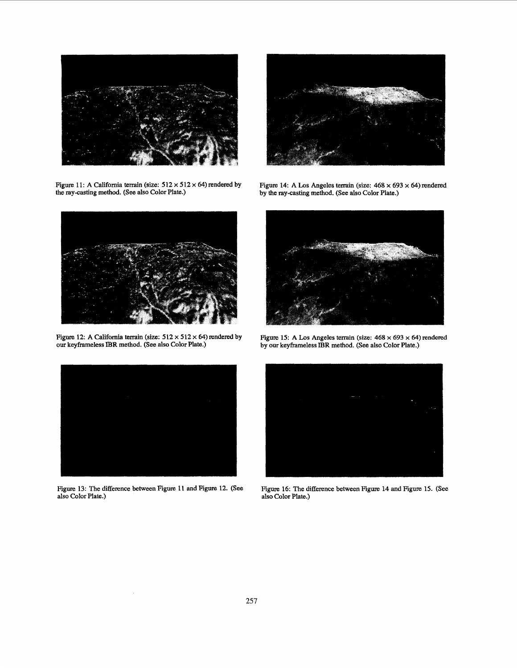

Figure 11: A California terrain (size:  $512 \times 512 \times 64$ ) rendered by the raycasting method. (See also Color Plate.)



Figure **12:** A Califomia terrain (size: **512 x 512 x 64)** rendered **by our** keyframeless **IBR** method. (See also Color Plate.)



Figure **13:** The difference between Figure 11 and Figure **12.** (See also Color Plate.)



Figure **14** A Los Angeles terrain (size: **468 x 693 x 64)** rendered **by** the ray-casting method. (See **also** Color Plate.)



Figure **15:** A Los Angeles terrain (size: **468 x** 693 **x** *64)* rendered by **our** keyframeless **II3R** method. **(See** also Color Plate.)



Figure **16:** The difference between Figure **14** and Figure **15.** (See also Color Plate.)